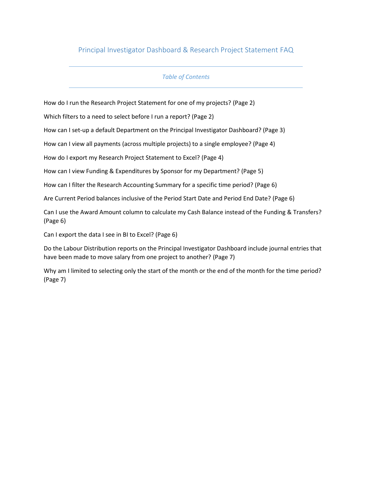# Principal Investigator Dashboard & Research Project Statement FAQ

## *Table of Contents*

How do I run the Research Project Statement for one of my projects? (Page 2)

Which filters to a need to select before I run a report? (Page 2)

How can I set-up a default Department on the Principal Investigator Dashboard? (Page 3)

How can I view all payments (across multiple projects) to a single employee? (Page 4)

How do I export my Research Project Statement to Excel? (Page 4)

How can I view Funding & Expenditures by Sponsor for my Department? (Page 5)

How can I filter the Research Accounting Summary for a specific time period? (Page 6)

Are Current Period balances inclusive of the Period Start Date and Period End Date? (Page 6)

Can I use the Award Amount column to calculate my Cash Balance instead of the Funding & Transfers? (Page 6)

Can I export the data I see in BI to Excel? (Page 6)

Do the Labour Distribution reports on the Principal Investigator Dashboard include journal entries that have been made to move salary from one project to another? (Page 7)

Why am I limited to selecting only the start of the month or the end of the month for the time period? (Page 7)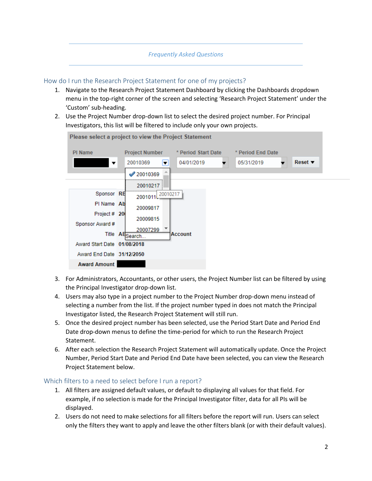#### *Frequently Asked Questions*

#### How do I run the Research Project Statement for one of my projects?

- 1. Navigate to the Research Project Statement Dashboard by clicking the Dashboards dropdown menu in the top-right corner of the screen and selecting 'Research Project Statement' under the 'Custom' sub-heading.
- 2. Use the Project Number drop-down list to select the desired project number. For Principal Investigators, this list will be filtered to include only your own projects.



- 3. For Administrators, Accountants, or other users, the Project Number list can be filtered by using the Principal Investigator drop-down list.
- 4. Users may also type in a project number to the Project Number drop-down menu instead of selecting a number from the list. If the project number typed in does not match the Principal Investigator listed, the Research Project Statement will still run.
- 5. Once the desired project number has been selected, use the Period Start Date and Period End Date drop-down menus to define the time-period for which to run the Research Project Statement.
- 6. After each selection the Research Project Statement will automatically update. Once the Project Number, Period Start Date and Period End Date have been selected, you can view the Research Project Statement below.

#### Which filters to a need to select before I run a report?

- 1. All filters are assigned default values, or default to displaying all values for that field. For example, if no selection is made for the Principal Investigator filter, data for all PIs will be displayed.
- 2. Users do not need to make selections for all filters before the report will run. Users can select only the filters they want to apply and leave the other filters blank (or with their default values).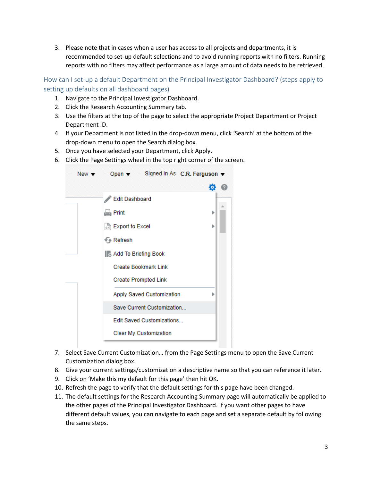3. Please note that in cases when a user has access to all projects and departments, it is recommended to set-up default selections and to avoid running reports with no filters. Running reports with no filters may affect performance as a large amount of data needs to be retrieved.

How can I set-up a default Department on the Principal Investigator Dashboard? (steps apply to setting up defaults on all dashboard pages)

- 1. Navigate to the Principal Investigator Dashboard.
- 2. Click the Research Accounting Summary tab.
- 3. Use the filters at the top of the page to select the appropriate Project Department or Project Department ID.
- 4. If your Department is not listed in the drop-down menu, click 'Search' at the bottom of the drop-down menu to open the Search dialog box.
- 5. Once you have selected your Department, click Apply.
- 6. Click the Page Settings wheel in the top right corner of the screen.



- 7. Select Save Current Customization… from the Page Settings menu to open the Save Current Customization dialog box.
- 8. Give your current settings/customization a descriptive name so that you can reference it later.
- 9. Click on 'Make this my default for this page' then hit OK.
- 10. Refresh the page to verify that the default settings for this page have been changed.
- 11. The default settings for the Research Accounting Summary page will automatically be applied to the other pages of the Principal Investigator Dashboard. If you want other pages to have different default values, you can navigate to each page and set a separate default by following the same steps.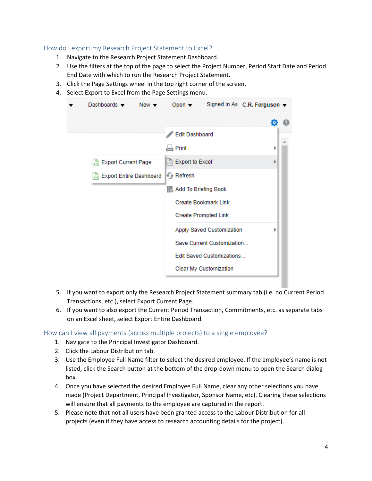### How do I export my Research Project Statement to Excel?

- 1. Navigate to the Research Project Statement Dashboard.
- 2. Use the filters at the top of the page to select the Project Number, Period Start Date and Period End Date with which to run the Research Project Statement.
- 3. Click the Page Settings wheel in the top right corner of the screen.
- 4. Select Export to Excel from the Page Settings menu.

| Dashboards $\blacktriangledown$ New $\blacktriangledown$ | Open $\blacktriangledown$ Signed In As C.R. Ferguson $\blacktriangledown$ |   |  |
|----------------------------------------------------------|---------------------------------------------------------------------------|---|--|
|                                                          |                                                                           |   |  |
|                                                          | Edit Dashboard                                                            |   |  |
|                                                          | $\Box$ Print                                                              |   |  |
| Export Current Page                                      | <b>Export to Excel</b>                                                    |   |  |
| Export Entire Dashboard                                  | Refresh                                                                   |   |  |
|                                                          | <b>&amp; Add To Briefing Book</b>                                         |   |  |
|                                                          | <b>Create Bookmark Link</b>                                               |   |  |
|                                                          | <b>Create Prompted Link</b>                                               |   |  |
|                                                          | Apply Saved Customization                                                 | Þ |  |
|                                                          | Save Current Customization                                                |   |  |
|                                                          | Edit Saved Customizations                                                 |   |  |
|                                                          | Clear My Customization                                                    |   |  |
|                                                          |                                                                           |   |  |

- 5. If you want to export only the Research Project Statement summary tab (i.e. no Current Period Transactions, etc.), select Export Current Page.
- 6. If you want to also export the Current Period Transaction, Commitments, etc. as separate tabs on an Excel sheet, select Export Entire Dashboard.

How can I view all payments (across multiple projects) to a single employee?

- 1. Navigate to the Principal Investigator Dashboard.
- 2. Click the Labour Distribution tab.
- 3. Use the Employee Full Name filter to select the desired employee. If the employee's name is not listed, click the Search button at the bottom of the drop-down menu to open the Search dialog box.
- 4. Once you have selected the desired Employee Full Name, clear any other selections you have made (Project Department, Principal Investigator, Sponsor Name, etc). Clearing these selections will ensure that all payments to the employee are captured in the report.
- 5. Please note that not all users have been granted access to the Labour Distribution for all projects (even if they have access to research accounting details for the project).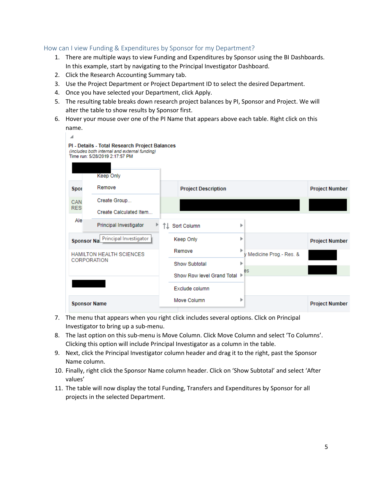## How can I view Funding & Expenditures by Sponsor for my Department?

- 1. There are multiple ways to view Funding and Expenditures by Sponsor using the BI Dashboards. In this example, start by navigating to the Principal Investigator Dashboard.
- 2. Click the Research Accounting Summary tab.
- 3. Use the Project Department or Project Department ID to select the desired Department.
- 4. Once you have selected your Department, click Apply.
- 5. The resulting table breaks down research project balances by PI, Sponsor and Project. We will alter the table to show results by Sponsor first.
- 6. Hover your mouse over one of the PI Name that appears above each table. Right click on this name.



- 7. The menu that appears when you right click includes several options. Click on Principal Investigator to bring up a sub-menu.
- 8. The last option on this sub-menu is Move Column. Click Move Column and select 'To Columns'. Clicking this option will include Principal Investigator as a column in the table.
- 9. Next, click the Principal Investigator column header and drag it to the right, past the Sponsor Name column.
- 10. Finally, right click the Sponsor Name column header. Click on 'Show Subtotal' and select 'After values'
- 11. The table will now display the total Funding, Transfers and Expenditures by Sponsor for all projects in the selected Department.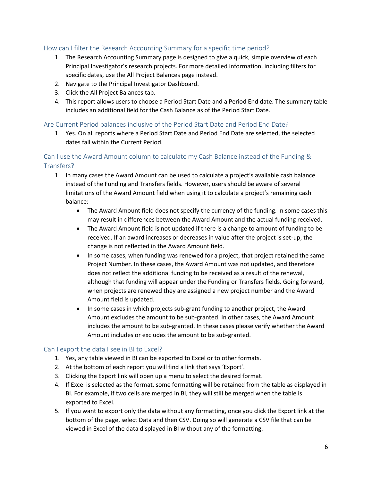## How can I filter the Research Accounting Summary for a specific time period?

- 1. The Research Accounting Summary page is designed to give a quick, simple overview of each Principal Investigator's research projects. For more detailed information, including filters for specific dates, use the All Project Balances page instead.
- 2. Navigate to the Principal Investigator Dashboard.
- 3. Click the All Project Balances tab.
- 4. This report allows users to choose a Period Start Date and a Period End date. The summary table includes an additional field for the Cash Balance as of the Period Start Date.

#### Are Current Period balances inclusive of the Period Start Date and Period End Date?

1. Yes. On all reports where a Period Start Date and Period End Date are selected, the selected dates fall within the Current Period.

# Can I use the Award Amount column to calculate my Cash Balance instead of the Funding & Transfers?

- 1. In many cases the Award Amount can be used to calculate a project's available cash balance instead of the Funding and Transfers fields. However, users should be aware of several limitations of the Award Amount field when using it to calculate a project's remaining cash balance:
	- The Award Amount field does not specify the currency of the funding. In some cases this may result in differences between the Award Amount and the actual funding received.
	- The Award Amount field is not updated if there is a change to amount of funding to be received. If an award increases or decreases in value after the project is set-up, the change is not reflected in the Award Amount field.
	- In some cases, when funding was renewed for a project, that project retained the same Project Number. In these cases, the Award Amount was not updated, and therefore does not reflect the additional funding to be received as a result of the renewal, although that funding will appear under the Funding or Transfers fields. Going forward, when projects are renewed they are assigned a new project number and the Award Amount field is updated.
	- In some cases in which projects sub-grant funding to another project, the Award Amount excludes the amount to be sub-granted. In other cases, the Award Amount includes the amount to be sub-granted. In these cases please verify whether the Award Amount includes or excludes the amount to be sub-granted.

## Can I export the data I see in BI to Excel?

- 1. Yes, any table viewed in BI can be exported to Excel or to other formats.
- 2. At the bottom of each report you will find a link that says 'Export'.
- 3. Clicking the Export link will open up a menu to select the desired format.
- 4. If Excel is selected as the format, some formatting will be retained from the table as displayed in BI. For example, if two cells are merged in BI, they will still be merged when the table is exported to Excel.
- 5. If you want to export only the data without any formatting, once you click the Export link at the bottom of the page, select Data and then CSV. Doing so will generate a CSV file that can be viewed in Excel of the data displayed in BI without any of the formatting.